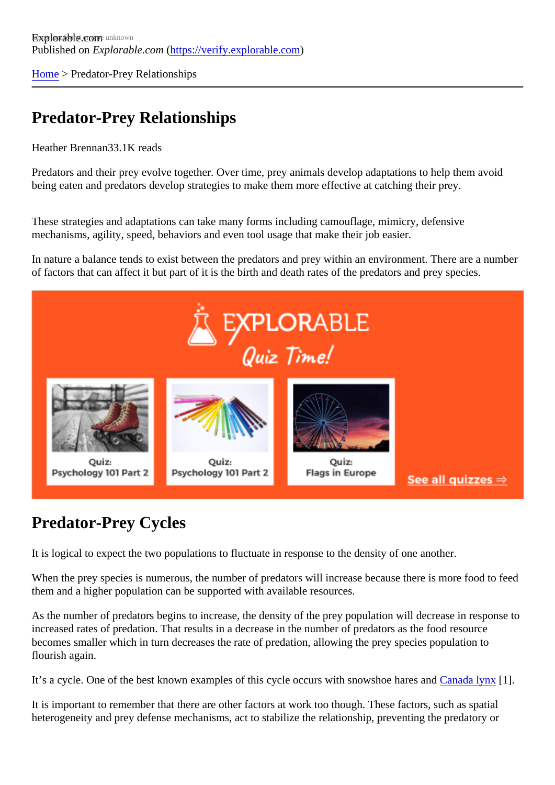[Home](https://verify.explorable.com/)> Predator-Prey Relationships

## Predator-Prey Relationships

Heather Brenna<sup>3</sup>8.1K reads

Predators and their prey evolve together. Over time, prey animals develop adaptations to help them avoid being eaten and predators develop strategies to make them more effective at catching their prey.

These strategies and adaptations can take many forms including camouflage, mimicry, defensive mechanisms, agility, speed, behaviors and even tool usage that make their job easier.

In nature a balance tends to exist between the predators and prey within an environment. There are a nun of factors that can affect it but part of it is the birth and death rates of the predators and prey species.

## Predator-Prey Cycles

It is logical to expect the two populations to fluctuate in response to the density of one another.

When the prey species is numerous, the number of predators will increase because there is more food to them and a higher population can be supported with available resources.

As the number of predators begins to increase, the density of the prey population will decrease in respons increased rates of predation. That results in a decrease in the number of predators as the food resource becomes smaller which in turn decreases the rate of predation, allowing the prey species population to flourish again.

It's a cycle. One of the best known examples of this cycle occurs with snowshoe halos and Iynx[1].

It is important to remember that there are other factors at work too though. These factors, such as spatial heterogeneity and prey defense mechanisms, act to stabilize the relationship, preventing the predatory or